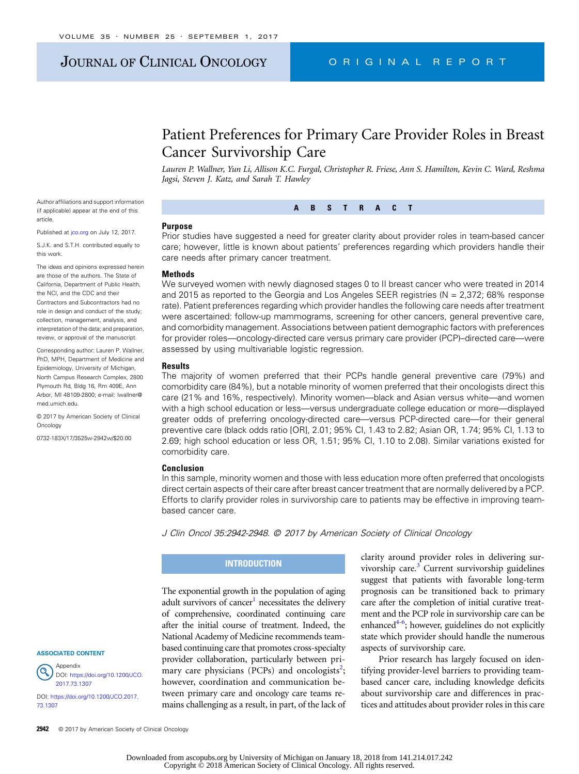# JOURNAL OF CLINICAL ONCOLOGY CRIGINAL REPORT

# Patient Preferences for Primary Care Provider Roles in Breast Cancer Survivorship Care

Lauren P. Wallner, Yun Li, Allison K.C. Furgal, Christopher R. Friese, Ann S. Hamilton, Kevin C. Ward, Reshma Jagsi, Steven J. Katz, and Sarah T. Hawley

Author affiliations and support information (if applicable) appear at the end of this article.

Published at [jco.org](http://jco.org) on July 12, 2017.

S.J.K. and S.T.H. contributed equally to this work.

The ideas and opinions expressed herein are those of the authors. The State of California, Department of Public Health, the NCI, and the CDC and their Contractors and Subcontractors had no role in design and conduct of the study; collection, management, analysis, and interpretation of the data; and preparation, review, or approval of the manuscript.

Corresponding author: Lauren P. Wallner, PhD, MPH, Department of Medicine and Epidemiology, University of Michigan, North Campus Research Complex, 2800 Plymouth Rd, Bldg 16, Rm 409E, Ann Arbor, MI 48109-2800; e-mail: [lwallner@](mailto:lwallner@med.umich.edu) [med.umich.edu](mailto:lwallner@med.umich.edu).

© 2017 by American Society of Clinical **Oncology** 

0732-183X/17/3525w-2942w/\$20.00

#### ASSOCIATED CONTENT



DOI: [https://doi.org/10.1200/JCO.2017.](http://ascopubs.org/doi/full/10.1200/JCO.2017.73.1307) [73.1307](http://ascopubs.org/doi/full/10.1200/JCO.2017.73.1307)

2942 © 2017 by American Society of Clinical Oncology

ABSTRACT

#### Purpose

Prior studies have suggested a need for greater clarity about provider roles in team-based cancer care; however, little is known about patients' preferences regarding which providers handle their care needs after primary cancer treatment.

#### **Methods**

We surveyed women with newly diagnosed stages 0 to II breast cancer who were treated in 2014 and 2015 as reported to the Georgia and Los Angeles SEER registries ( $N = 2,372$ ; 68% response rate). Patient preferences regarding which provider handles the following care needs after treatment were ascertained: follow-up mammograms, screening for other cancers, general preventive care, and comorbidity management. Associations between patient demographic factors with preferences for provider roles—oncology-directed care versus primary care provider (PCP)–directed care—were assessed by using multivariable logistic regression.

#### **Results**

The majority of women preferred that their PCPs handle general preventive care (79%) and comorbidity care (84%), but a notable minority of women preferred that their oncologists direct this care (21% and 16%, respectively). Minority women—black and Asian versus white—and women with a high school education or less—versus undergraduate college education or more—displayed greater odds of preferring oncology-directed care—versus PCP-directed care—for their general preventive care (black odds ratio [OR], 2.01; 95% CI, 1.43 to 2.82; Asian OR, 1.74; 95% CI, 1.13 to 2.69; high school education or less OR, 1.51; 95% CI, 1.10 to 2.08). Similar variations existed for comorbidity care.

#### Conclusion

In this sample, minority women and those with less education more often preferred that oncologists direct certain aspects of their care after breast cancer treatment that are normally delivered by a PCP. Efforts to clarify provider roles in survivorship care to patients may be effective in improving teambased cancer care.

J Clin Oncol 35:2942-2948. © 2017 by American Society of Clinical Oncology

#### **INTRODUCTION**

The exponential growth in the population of aging adult survivors of cancer<sup>1</sup> necessitates the delivery of comprehensive, coordinated continuing care after the initial course of treatment. Indeed, the National Academy of Medicine recommends teambased continuing care that promotes cross-specialty provider collaboration, particularly between pri-mary care physicians (PCPs) and oncologists<sup>[2](#page-6-0)</sup>; however, coordination and communication between primary care and oncology care teams remains challenging as a result, in part, of the lack of clarity around provider roles in delivering survivorship care. $3$  Current survivorship guidelines suggest that patients with favorable long-term prognosis can be transitioned back to primary care after the completion of initial curative treatment and the PCP role in survivorship care can be enhanced<sup>4-[6](#page-6-0)</sup>; however, guidelines do not explicitly state which provider should handle the numerous aspects of survivorship care.

Prior research has largely focused on identifying provider-level barriers to providing teambased cancer care, including knowledge deficits about survivorship care and differences in practices and attitudes about provider roles in this care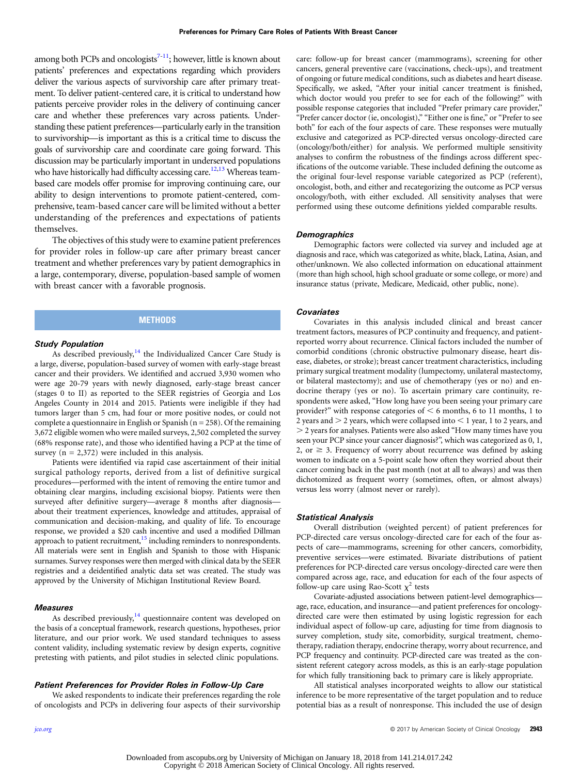among both PCPs and oncologists<sup>7-11</sup>; however, little is known about patients' preferences and expectations regarding which providers deliver the various aspects of survivorship care after primary treatment. To deliver patient-centered care, it is critical to understand how patients perceive provider roles in the delivery of continuing cancer care and whether these preferences vary across patients. Understanding these patient preferences—particularly early in the transition to survivorship—is important as this is a critical time to discuss the goals of survivorship care and coordinate care going forward. This discussion may be particularly important in underserved populations who have historically had difficulty accessing care.<sup>[12](#page-6-0),[13](#page-6-0)</sup> Whereas teambased care models offer promise for improving continuing care, our ability to design interventions to promote patient-centered, comprehensive, team-based cancer care will be limited without a better understanding of the preferences and expectations of patients themselves.

The objectives of this study were to examine patient preferences for provider roles in follow-up care after primary breast cancer treatment and whether preferences vary by patient demographics in a large, contemporary, diverse, population-based sample of women with breast cancer with a favorable prognosis.

#### **METHODS**

#### Study Population

As described previously, $14$  the Individualized Cancer Care Study is a large, diverse, population-based survey of women with early-stage breast cancer and their providers. We identified and accrued 3,930 women who were age 20-79 years with newly diagnosed, early-stage breast cancer (stages 0 to II) as reported to the SEER registries of Georgia and Los Angeles County in 2014 and 2015. Patients were ineligible if they had tumors larger than 5 cm, had four or more positive nodes, or could not complete a questionnaire in English or Spanish  $(n = 258)$ . Of the remaining 3,672 eligible women who were mailed surveys, 2,502 completed the survey (68% response rate), and those who identified having a PCP at the time of survey ( $n = 2,372$ ) were included in this analysis.

Patients were identified via rapid case ascertainment of their initial surgical pathology reports, derived from a list of definitive surgical procedures—performed with the intent of removing the entire tumor and obtaining clear margins, including excisional biopsy. Patients were then surveyed after definitive surgery—average 8 months after diagnosis about their treatment experiences, knowledge and attitudes, appraisal of communication and decision-making, and quality of life. To encourage response, we provided a \$20 cash incentive and used a modified Dillman approach to patient recruitment, $15$  including reminders to nonrespondents. All materials were sent in English and Spanish to those with Hispanic surnames. Survey responses were then merged with clinical data by the SEER registries and a deidentified analytic data set was created. The study was approved by the University of Michigan Institutional Review Board.

#### Measures

As described previously, $14$  questionnaire content was developed on the basis of a conceptual framework, research questions, hypotheses, prior literature, and our prior work. We used standard techniques to assess content validity, including systematic review by design experts, cognitive pretesting with patients, and pilot studies in selected clinic populations.

#### Patient Preferences for Provider Roles in Follow-Up Care

We asked respondents to indicate their preferences regarding the role of oncologists and PCPs in delivering four aspects of their survivorship care: follow-up for breast cancer (mammograms), screening for other cancers, general preventive care (vaccinations, check-ups), and treatment of ongoing or future medical conditions, such as diabetes and heart disease. Specifically, we asked, "After your initial cancer treatment is finished, which doctor would you prefer to see for each of the following?" with possible response categories that included "Prefer primary care provider," "Prefer cancer doctor (ie, oncologist)," "Either one is fine," or "Prefer to see both" for each of the four aspects of care. These responses were mutually exclusive and categorized as PCP-directed versus oncology-directed care (oncology/both/either) for analysis. We performed multiple sensitivity analyses to confirm the robustness of the findings across different specifications of the outcome variable. These included defining the outcome as the original four-level response variable categorized as PCP (referent), oncologist, both, and either and recategorizing the outcome as PCP versus oncology/both, with either excluded. All sensitivity analyses that were performed using these outcome definitions yielded comparable results.

#### **Demographics**

Demographic factors were collected via survey and included age at diagnosis and race, which was categorized as white, black, Latina, Asian, and other/unknown. We also collected information on educational attainment (more than high school, high school graduate or some college, or more) and insurance status (private, Medicare, Medicaid, other public, none).

#### **Covariates**

Covariates in this analysis included clinical and breast cancer treatment factors, measures of PCP continuity and frequency, and patientreported worry about recurrence. Clinical factors included the number of comorbid conditions (chronic obstructive pulmonary disease, heart disease, diabetes, or stroke); breast cancer treatment characteristics, including primary surgical treatment modality (lumpectomy, unilateral mastectomy, or bilateral mastectomy); and use of chemotherapy (yes or no) and endocrine therapy (yes or no). To ascertain primary care continuity, respondents were asked, "How long have you been seeing your primary care provider?" with response categories of  $<$  6 months, 6 to 11 months, 1 to 2 years and  $>$  2 years, which were collapsed into  $<$  1 year, 1 to 2 years, and . 2 years for analyses. Patients were also asked "How many times have you seen your PCP since your cancer diagnosis?", which was categorized as 0, 1, 2, or  $\geq$  3. Frequency of worry about recurrence was defined by asking women to indicate on a 5-point scale how often they worried about their cancer coming back in the past month (not at all to always) and was then dichotomized as frequent worry (sometimes, often, or almost always) versus less worry (almost never or rarely).

#### Statistical Analysis

Overall distribution (weighted percent) of patient preferences for PCP-directed care versus oncology-directed care for each of the four aspects of care—mammograms, screening for other cancers, comorbidity, preventive services—were estimated. Bivariate distributions of patient preferences for PCP-directed care versus oncology-directed care were then compared across age, race, and education for each of the four aspects of follow-up care using Rao-Scott  $\chi^2$  tests

Covariate-adjusted associations between patient-level demographics age, race, education, and insurance—and patient preferences for oncologydirected care were then estimated by using logistic regression for each individual aspect of follow-up care, adjusting for time from diagnosis to survey completion, study site, comorbidity, surgical treatment, chemotherapy, radiation therapy, endocrine therapy, worry about recurrence, and PCP frequency and continuity. PCP-directed care was treated as the consistent referent category across models, as this is an early-stage population for which fully transitioning back to primary care is likely appropriate.

All statistical analyses incorporated weights to allow our statistical inference to be more representative of the target population and to reduce potential bias as a result of nonresponse. This included the use of design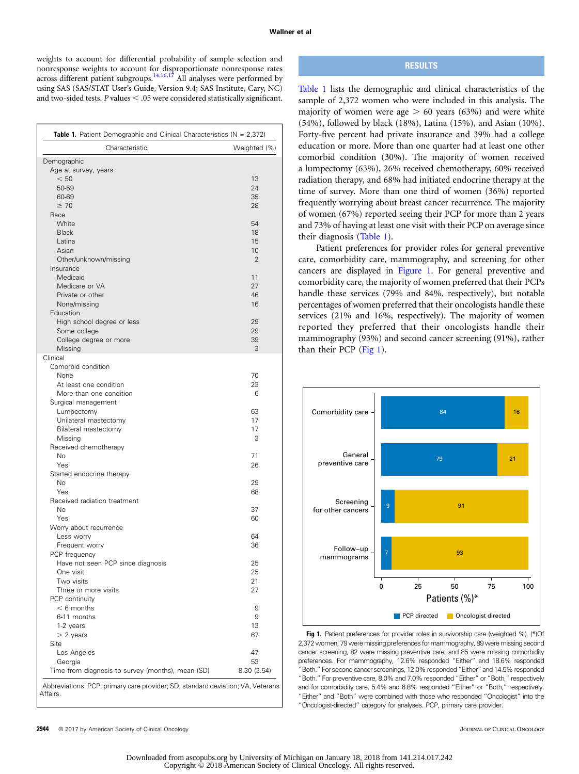weights to account for differential probability of sample selection and nonresponse weights to account for disproportionate nonresponse rates across different patient subgroups.<sup>[14,16](#page-6-0),[17](#page-6-0)</sup> All analyses were performed by using SAS (SAS/STAT User's Guide, Version 9.4; SAS Institute, Cary, NC) and two-sided tests.  $P$  values  $< .05$  were considered statistically significant.

| <b>Table 1.</b> Patient Demographic and Clinical Characteristics ( $N = 2,372$ ) |                |  |  |  |  |
|----------------------------------------------------------------------------------|----------------|--|--|--|--|
| Characteristic                                                                   | Weighted (%)   |  |  |  |  |
| Demographic                                                                      |                |  |  |  |  |
| Age at survey, years                                                             |                |  |  |  |  |
| < 50                                                                             | 13             |  |  |  |  |
| 50-59                                                                            | 24             |  |  |  |  |
| 60-69                                                                            | 35             |  |  |  |  |
| $\geq 70$                                                                        | 28             |  |  |  |  |
| Race                                                                             |                |  |  |  |  |
| White                                                                            | 54             |  |  |  |  |
| <b>Black</b><br>Latina                                                           | 18<br>15       |  |  |  |  |
| Asian                                                                            | 10             |  |  |  |  |
|                                                                                  | $\overline{2}$ |  |  |  |  |
| Other/unknown/missing<br>Insurance                                               |                |  |  |  |  |
| Medicaid                                                                         | 11             |  |  |  |  |
| Medicare or VA                                                                   | 27             |  |  |  |  |
| Private or other                                                                 | 46             |  |  |  |  |
| None/missing                                                                     | 16             |  |  |  |  |
| Education                                                                        |                |  |  |  |  |
| High school degree or less                                                       | 29             |  |  |  |  |
| Some college                                                                     | 29             |  |  |  |  |
| College degree or more                                                           | 39             |  |  |  |  |
| Missing                                                                          | 3              |  |  |  |  |
| Clinical                                                                         |                |  |  |  |  |
| Comorbid condition                                                               |                |  |  |  |  |
| None                                                                             | 70             |  |  |  |  |
| At least one condition                                                           | 23             |  |  |  |  |
| More than one condition                                                          | 6              |  |  |  |  |
| Surgical management                                                              |                |  |  |  |  |
| Lumpectomy                                                                       | 63             |  |  |  |  |
| Unilateral mastectomy                                                            | 17             |  |  |  |  |
| Bilateral mastectomy                                                             | 17             |  |  |  |  |
| Missing                                                                          | 3              |  |  |  |  |
| Received chemotherapy                                                            |                |  |  |  |  |
| <b>No</b>                                                                        | 71             |  |  |  |  |
| Yes                                                                              | 26             |  |  |  |  |
| Started endocrine therapy                                                        |                |  |  |  |  |
| <b>No</b>                                                                        | 29             |  |  |  |  |
| Yes                                                                              | 68             |  |  |  |  |
| Received radiation treatment<br><b>No</b>                                        | 37             |  |  |  |  |
| Yes                                                                              | 60             |  |  |  |  |
| Worry about recurrence                                                           |                |  |  |  |  |
| Less worry                                                                       | 64             |  |  |  |  |
| Frequent worry                                                                   | 36             |  |  |  |  |
| PCP frequency                                                                    |                |  |  |  |  |
| Have not seen PCP since diagnosis                                                | 25             |  |  |  |  |
| One visit                                                                        | 25             |  |  |  |  |
| Two visits                                                                       | 21             |  |  |  |  |
| Three or more visits                                                             | 27             |  |  |  |  |
| PCP continuity                                                                   |                |  |  |  |  |
| $< 6$ months                                                                     | 9              |  |  |  |  |
| 6-11 months                                                                      | 9              |  |  |  |  |
| 1-2 years                                                                        | 13             |  |  |  |  |
| $>$ 2 years                                                                      | 67             |  |  |  |  |
| Site                                                                             |                |  |  |  |  |
| Los Angeles                                                                      | 47             |  |  |  |  |
| Georgia                                                                          | 53             |  |  |  |  |
| Time from diagnosis to survey (months), mean (SD)                                | 8.30 (3.54)    |  |  |  |  |
|                                                                                  |                |  |  |  |  |

Abbreviations: PCP, primary care provider; SD, standard deviation; VA, Veterans Affairs.

# **RESULTS**

Table 1 lists the demographic and clinical characteristics of the sample of 2,372 women who were included in this analysis. The majority of women were age  $> 60$  years (63%) and were white (54%), followed by black (18%), Latina (15%), and Asian (10%). Forty-five percent had private insurance and 39% had a college education or more. More than one quarter had at least one other comorbid condition (30%). The majority of women received a lumpectomy (63%), 26% received chemotherapy, 60% received radiation therapy, and 68% had initiated endocrine therapy at the time of survey. More than one third of women (36%) reported frequently worrying about breast cancer recurrence. The majority of women (67%) reported seeing their PCP for more than 2 years and 73% of having at least one visit with their PCP on average since their diagnosis (Table 1).

Patient preferences for provider roles for general preventive care, comorbidity care, mammography, and screening for other cancers are displayed in Figure 1. For general preventive and comorbidity care, the majority of women preferred that their PCPs handle these services (79% and 84%, respectively), but notable percentages of women preferred that their oncologists handle these services (21% and 16%, respectively). The majority of women reported they preferred that their oncologists handle their mammography (93%) and second cancer screening (91%), rather than their PCP (Fig 1).



Fig 1. Patient preferences for provider roles in survivorship care (weighted %). (\*)Of 2,372 women, 79 were missing preferences for mammography, 89 were missing second cancer screening, 82 were missing preventive care, and 85 were missing comorbidity preferences. For mammography, 12.6% responded "Either" and 18.6% responded "Both." For second cancer screenings, 12.0% responded "Either" and 14.5% responded "Both." For preventive care, 8.0% and 7.0% responded "Either" or "Both," respectively and for comorbidity care, 5.4% and 6.8% responded "Either" or "Both," respectively. "Either" and "Both" were combined with those who responded "Oncologist" into the "Oncologist-directed" category for analyses. PCP, primary care provider.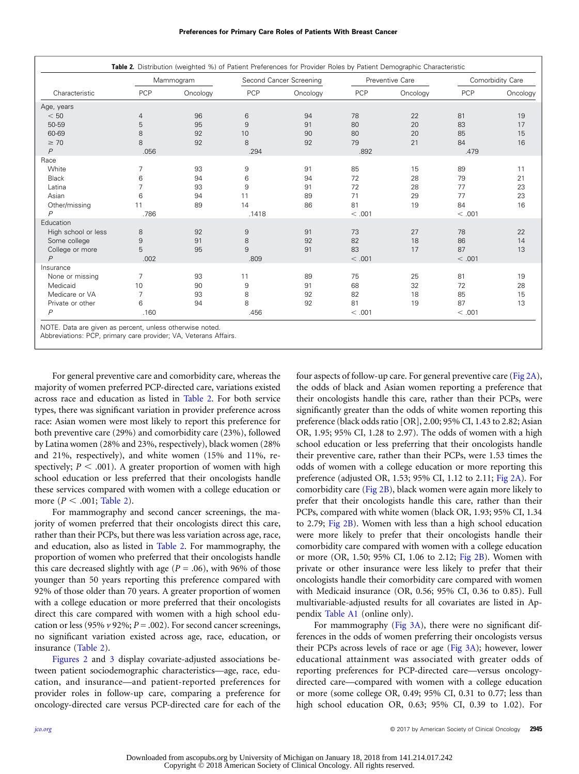| Characteristic      | Mammogram      |          | Second Cancer Screening |          | Preventive Care |          | Comorbidity Care |          |
|---------------------|----------------|----------|-------------------------|----------|-----------------|----------|------------------|----------|
|                     | PCP            | Oncology | PCP                     | Oncology | PCP             | Oncology | PCP              | Oncology |
| Age, years          |                |          |                         |          |                 |          |                  |          |
| < 50                | $\overline{4}$ | 96       | 6                       | 94       | 78              | 22       | 81               | 19       |
| 50-59               | 5              | 95       | 9                       | 91       | 80              | 20       | 83               | 17       |
| 60-69               | 8              | 92       | 10                      | 90       | 80              | 20       | 85               | 15       |
| $\geq 70$           | 8              | 92       | 8                       | 92       | 79              | 21       | 84               | 16       |
| $\overline{P}$      | .056           |          | .294                    |          | .892            |          | .479             |          |
| Race                |                |          |                         |          |                 |          |                  |          |
| White               | 7              | 93       | 9                       | 91       | 85              | 15       | 89               | 11       |
| <b>Black</b>        | 6              | 94       | 6                       | 94       | 72              | 28       | 79               | 21       |
| Latina              | 7              | 93       | 9                       | 91       | 72              | 28       | 77               | 23       |
| Asian               | 6              | 94       | 11                      | 89       | 71              | 29       | 77               | 23       |
| Other/missing       | 11             | 89       | 14                      | 86       | 81              | 19       | 84               | 16       |
| $\overline{P}$      | .786           |          | .1418                   |          | < .001          |          | < .001           |          |
| Education           |                |          |                         |          |                 |          |                  |          |
| High school or less | 8              | 92       | 9                       | 91       | 73              | 27       | 78               | 22       |
| Some college        | $\overline{9}$ | 91       | 8                       | 92       | 82              | 18       | 86               | 14       |
| College or more     | 5              | 95       | 9                       | 91       | 83              | 17       | 87               | 13       |
| $\overline{P}$      | .002           |          | .809                    |          | < .001          |          | < .001           |          |
| Insurance           |                |          |                         |          |                 |          |                  |          |
| None or missing     | 7              | 93       | 11                      | 89       | 75              | 25       | 81               | 19       |
| Medicaid            | 10             | 90       | 9                       | 91       | 68              | 32       | 72               | 28       |
| Medicare or VA      | 7              | 93       | 8                       | 92       | 82              | 18       | 85               | 15       |
| Private or other    | 6              | 94       | 8                       | 92       | 81              | 19       | 87               | 13       |
| $\overline{P}$      | .160           |          | .456                    |          | < .001          |          | < .001           |          |

Abbreviations: PCP, primary care provider; VA, Veterans Affairs.

For general preventive care and comorbidity care, whereas the majority of women preferred PCP-directed care, variations existed across race and education as listed in Table 2. For both service types, there was significant variation in provider preference across race: Asian women were most likely to report this preference for both preventive care (29%) and comorbidity care (23%), followed by Latina women (28% and 23%, respectively), black women (28% and 21%, respectively), and white women (15% and 11%, respectively;  $P < .001$ ). A greater proportion of women with high school education or less preferred that their oncologists handle these services compared with women with a college education or more ( $P < .001$ ; Table 2).

For mammography and second cancer screenings, the majority of women preferred that their oncologists direct this care, rather than their PCPs, but there was less variation across age, race, and education, also as listed in Table 2. For mammography, the proportion of women who preferred that their oncologists handle this care decreased slightly with age ( $P = .06$ ), with 96% of those younger than 50 years reporting this preference compared with 92% of those older than 70 years. A greater proportion of women with a college education or more preferred that their oncologists direct this care compared with women with a high school education or less (95%  $\nu$  92%;  $P = .002$ ). For second cancer screenings, no significant variation existed across age, race, education, or insurance (Table 2).

[Figures 2](#page-4-0) and [3](#page-5-0) display covariate-adjusted associations between patient sociodemographic characteristics—age, race, education, and insurance—and patient-reported preferences for provider roles in follow-up care, comparing a preference for oncology-directed care versus PCP-directed care for each of the

four aspects of follow-up care. For general preventive care [\(Fig 2A](#page-4-0)), the odds of black and Asian women reporting a preference that their oncologists handle this care, rather than their PCPs, were significantly greater than the odds of white women reporting this preference (black odds ratio [OR], 2.00; 95% CI, 1.43 to 2.82; Asian OR, 1.95; 95% CI, 1.28 to 2.97). The odds of women with a high school education or less preferring that their oncologists handle their preventive care, rather than their PCPs, were 1.53 times the odds of women with a college education or more reporting this preference (adjusted OR, 1.53; 95% CI, 1.12 to 2.11; [Fig 2A](#page-4-0)). For comorbidity care [\(Fig 2B](#page-4-0)), black women were again more likely to prefer that their oncologists handle this care, rather than their PCPs, compared with white women (black OR, 1.93; 95% CI, 1.34 to 2.79; [Fig 2B\)](#page-4-0). Women with less than a high school education were more likely to prefer that their oncologists handle their comorbidity care compared with women with a college education or more (OR, 1.50; 95% CI, 1.06 to 2.12; [Fig 2B](#page-4-0)). Women with private or other insurance were less likely to prefer that their oncologists handle their comorbidity care compared with women with Medicaid insurance (OR, 0.56; 95% CI, 0.36 to 0.85). Full multivariable-adjusted results for all covariates are listed in Appendix [Table A1](#page-8-0) (online only).

For mammography [\(Fig 3A\)](#page-5-0), there were no significant differences in the odds of women preferring their oncologists versus their PCPs across levels of race or age [\(Fig 3A\)](#page-5-0); however, lower educational attainment was associated with greater odds of reporting preferences for PCP-directed care—versus oncologydirected care—compared with women with a college education or more (some college OR, 0.49; 95% CI, 0.31 to 0.77; less than high school education OR, 0.63; 95% CI, 0.39 to 1.02). For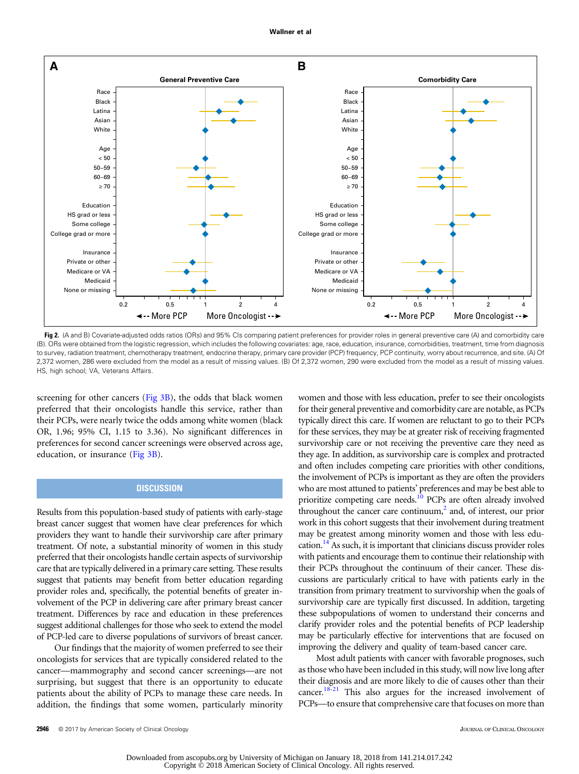<span id="page-4-0"></span>

Fig 2. (A and B) Covariate-adjusted odds ratios (ORs) and 95% CIs comparing patient preferences for provider roles in general preventive care (A) and comorbidity care (B). ORs were obtained from the logistic regression, which includes the following covariates: age, race, education, insurance, comorbidities, treatment, time from diagnosis to survey, radiation treatment, chemotherapy treatment, endocrine therapy, primary care provider (PCP) frequency, PCP continuity, worry about recurrence, and site. (A) Of 2,372 women, 286 were excluded from the model as a result of missing values. (B) Of 2,372 women, 290 were excluded from the model as a result of missing values. HS, high school; VA, Veterans Affairs.

screening for other cancers ( $Fig 3B$ ), the odds that black women preferred that their oncologists handle this service, rather than their PCPs, were nearly twice the odds among white women (black OR, 1.96; 95% CI, 1.15 to 3.36). No significant differences in preferences for second cancer screenings were observed across age, education, or insurance [\(Fig 3B\)](#page-5-0).

# **DISCUSSION**

Results from this population-based study of patients with early-stage breast cancer suggest that women have clear preferences for which providers they want to handle their survivorship care after primary treatment. Of note, a substantial minority of women in this study preferred that their oncologists handle certain aspects of survivorship care that are typically delivered in a primary care setting. These results suggest that patients may benefit from better education regarding provider roles and, specifically, the potential benefits of greater involvement of the PCP in delivering care after primary breast cancer treatment. Differences by race and education in these preferences suggest additional challenges for those who seek to extend the model of PCP-led care to diverse populations of survivors of breast cancer.

Our findings that the majority of women preferred to see their oncologists for services that are typically considered related to the cancer—mammography and second cancer screenings—are not surprising, but suggest that there is an opportunity to educate patients about the ability of PCPs to manage these care needs. In addition, the findings that some women, particularly minority

women and those with less education, prefer to see their oncologists for their general preventive and comorbidity care are notable, as PCPs typically direct this care. If women are reluctant to go to their PCPs for these services, they may be at greater risk of receiving fragmented survivorship care or not receiving the preventive care they need as they age. In addition, as survivorship care is complex and protracted and often includes competing care priorities with other conditions, the involvement of PCPs is important as they are often the providers who are most attuned to patients' preferences and may be best able to prioritize competing care needs.<sup>10</sup> PCPs are often already involved throughout the cancer care continuum, $<sup>2</sup>$  and, of interest, our prior</sup> work in this cohort suggests that their involvement during treatment may be greatest among minority women and those with less education.<sup>14</sup> As such, it is important that clinicians discuss provider roles with patients and encourage them to continue their relationship with their PCPs throughout the continuum of their cancer. These discussions are particularly critical to have with patients early in the transition from primary treatment to survivorship when the goals of survivorship care are typically first discussed. In addition, targeting these subpopulations of women to understand their concerns and clarify provider roles and the potential benefits of PCP leadership may be particularly effective for interventions that are focused on improving the delivery and quality of team-based cancer care.

Most adult patients with cancer with favorable prognoses, such as those who have been included in this study, will now live long after their diagnosis and are more likely to die of causes other than their cancer. $18-21$  This also argues for the increased involvement of PCPs—to ensure that comprehensive care that focuses on more than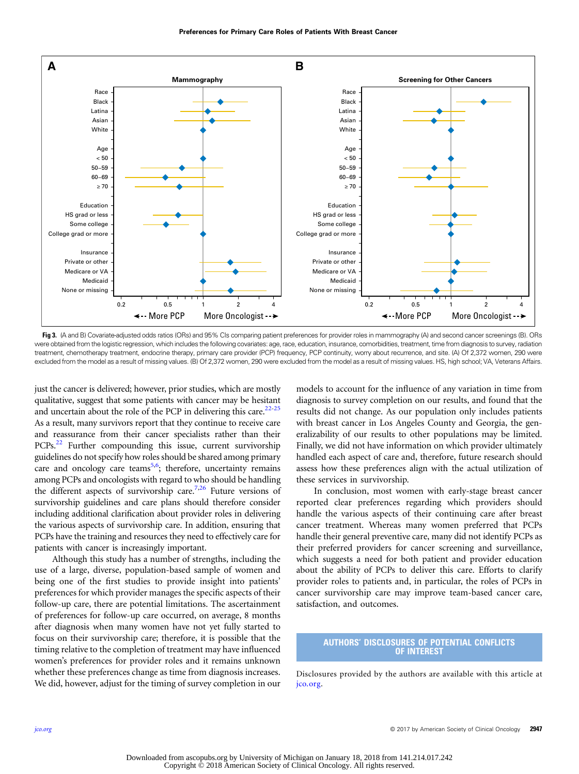<span id="page-5-0"></span>

Fig 3. (A and B) Covariate-adjusted odds ratios (ORs) and 95% CIs comparing patient preferences for provider roles in mammography (A) and second cancer screenings (B). ORs were obtained from the logistic regression, which includes the following covariates: age, race, education, insurance, comorbidities, treatment, time from diagnosis to survey, radiation treatment, chemotherapy treatment, endocrine therapy, primary care provider (PCP) frequency, PCP continuity, worry about recurrence, and site. (A) Of 2,372 women, 290 were excluded from the model as a result of missing values. (B) Of 2,372 women, 290 were excluded from the model as a result of missing values. HS, high school; VA, Veterans Affairs.

just the cancer is delivered; however, prior studies, which are mostly qualitative, suggest that some patients with cancer may be hesitant and uncertain about the role of the PCP in delivering this care.<sup>[22](#page-6-0)-[25](#page-6-0)</sup> As a result, many survivors report that they continue to receive care and reassurance from their cancer specialists rather than their PCPs.<sup>22</sup> Further compounding this issue, current survivorship guidelines do not specify how roles should be shared among primary care and oncology care teams<sup>5,6</sup>; therefore, uncertainty remains among PCPs and oncologists with regard to who should be handling the different aspects of survivorship care.<sup>7,26</sup> Future versions of survivorship guidelines and care plans should therefore consider including additional clarification about provider roles in delivering the various aspects of survivorship care. In addition, ensuring that PCPs have the training and resources they need to effectively care for patients with cancer is increasingly important.

Although this study has a number of strengths, including the use of a large, diverse, population-based sample of women and being one of the first studies to provide insight into patients' preferences for which provider manages the specific aspects of their follow-up care, there are potential limitations. The ascertainment of preferences for follow-up care occurred, on average, 8 months after diagnosis when many women have not yet fully started to focus on their survivorship care; therefore, it is possible that the timing relative to the completion of treatment may have influenced women's preferences for provider roles and it remains unknown whether these preferences change as time from diagnosis increases. We did, however, adjust for the timing of survey completion in our

models to account for the influence of any variation in time from diagnosis to survey completion on our results, and found that the results did not change. As our population only includes patients with breast cancer in Los Angeles County and Georgia, the generalizability of our results to other populations may be limited. Finally, we did not have information on which provider ultimately handled each aspect of care and, therefore, future research should assess how these preferences align with the actual utilization of these services in survivorship.

In conclusion, most women with early-stage breast cancer reported clear preferences regarding which providers should handle the various aspects of their continuing care after breast cancer treatment. Whereas many women preferred that PCPs handle their general preventive care, many did not identify PCPs as their preferred providers for cancer screening and surveillance, which suggests a need for both patient and provider education about the ability of PCPs to deliver this care. Efforts to clarify provider roles to patients and, in particular, the roles of PCPs in cancer survivorship care may improve team-based cancer care, satisfaction, and outcomes.

### AUTHORS' DISCLOSURES OF POTENTIAL CONFLICTS OF INTEREST

Disclosures provided by the authors are available with this article at [jco.org](http://jco.org).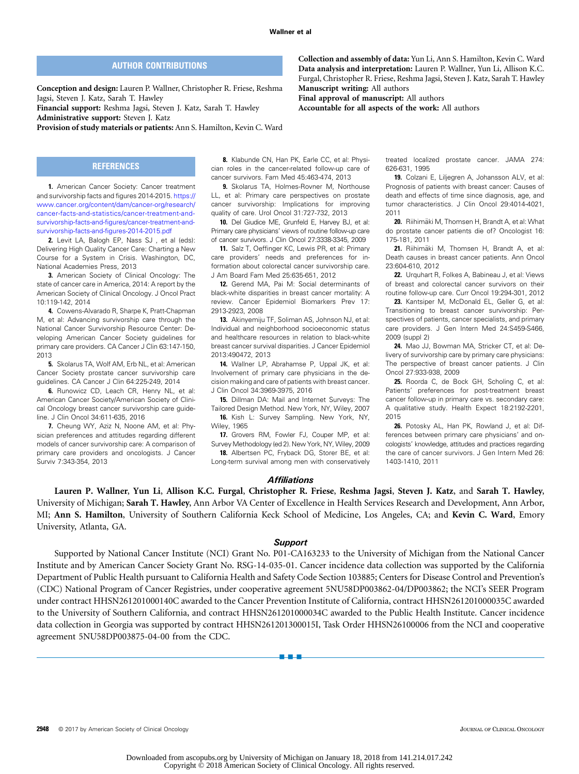Collection and assembly of data: Yun Li, Ann S. Hamilton, Kevin C. Ward Data analysis and interpretation: Lauren P. Wallner, Yun Li, Allison K.C. Furgal, Christopher R. Friese, Reshma Jagsi, Steven J. Katz, Sarah T. Hawley

treated localized prostate cancer. JAMA 274:

19. Colzani E, Liljegren A, Johansson ALV, et al: Prognosis of patients with breast cancer: Causes of death and effects of time since diagnosis, age, and tumor characteristics. J Clin Oncol 29:4014-4021,

20. Riihimäki M, Thomsen H, Brandt A, et al: What do prostate cancer patients die of? Oncologist 16:

21. Riihimäki M, Thomsen H, Brandt A, et al: Death causes in breast cancer patients. Ann Oncol

22. Urquhart R, Folkes A, Babineau J, et al: Views of breast and colorectal cancer survivors on their routine follow-up care. Curr Oncol 19:294-301, 2012 23. Kantsiper M, McDonald EL, Geller G, et al: Transitioning to breast cancer survivorship: Perspectives of patients, cancer specialists, and primary care providers. J Gen Intern Med 24:S459-S466,

24. Mao JJ, Bowman MA, Stricker CT, et al: Delivery of survivorship care by primary care physicians: The perspective of breast cancer patients. J Clin

25. Roorda C, de Bock GH, Scholing C, et al: Patients' preferences for post-treatment breast cancer follow-up in primary care vs. secondary care: A qualitative study. Health Expect 18:2192-2201,

26. Potosky AL, Han PK, Rowland J, et al: Differences between primary care physicians' and oncologists' knowledge, attitudes and practices regarding the care of cancer survivors. J Gen Intern Med 26:

Manuscript writing: All authors

Final approval of manuscript: All authors

Accountable for all aspects of the work: All authors

626-631, 1995

175-181, 2011

23:604-610, 2012

2009 (suppl 2)

2015

Oncol 27:933-938, 2009

1403-1410, 2011

2011

# AUTHOR CONTRIBUTIONS

<span id="page-6-0"></span>Conception and design: Lauren P. Wallner, Christopher R. Friese, Reshma Jagsi, Steven J. Katz, Sarah T. Hawley Financial support: Reshma Jagsi, Steven J. Katz, Sarah T. Hawley

Administrative support: Steven J. Katz

Provision of study materials or patients: Ann S. Hamilton, Kevin C. Ward

#### **REFERENCES**

1. American Cancer Society: Cancer treatment and survivorship facts and figures 2014-2015. [https://](https://www.cancer.org/content/dam/cancer-org/research/cancer-facts-and-statistics/cancer-treatment-and-survivorship-facts-and-figures/cancer-treatment-and-survivorship-facts-and-figures-2014-2015.pdf) [www.cancer.org/content/dam/cancer-org/research/](https://www.cancer.org/content/dam/cancer-org/research/cancer-facts-and-statistics/cancer-treatment-and-survivorship-facts-and-figures/cancer-treatment-and-survivorship-facts-and-figures-2014-2015.pdf) [cancer-facts-and-statistics/cancer-treatment-and](https://www.cancer.org/content/dam/cancer-org/research/cancer-facts-and-statistics/cancer-treatment-and-survivorship-facts-and-figures/cancer-treatment-and-survivorship-facts-and-figures-2014-2015.pdf)survivorship-facts-and-fi[gures/cancer-treatment-and](https://www.cancer.org/content/dam/cancer-org/research/cancer-facts-and-statistics/cancer-treatment-and-survivorship-facts-and-figures/cancer-treatment-and-survivorship-facts-and-figures-2014-2015.pdf)[survivorship-facts-and-](https://www.cancer.org/content/dam/cancer-org/research/cancer-facts-and-statistics/cancer-treatment-and-survivorship-facts-and-figures/cancer-treatment-and-survivorship-facts-and-figures-2014-2015.pdf)figures-2014-2015.pdf

2. Levit LA, Balogh EP, Nass SJ , et al (eds): Delivering High Quality Cancer Care: Charting a New Course for a System in Crisis. Washington, DC, National Academies Press, 2013

3. American Society of Clinical Oncology: The state of cancer care in America, 2014: A report by the American Society of Clinical Oncology. J Oncol Pract 10:119-142, 2014

4. Cowens-Alvarado R, Sharpe K, Pratt-Chapman M, et al: Advancing survivorship care through the National Cancer Survivorship Resource Center: Developing American Cancer Society guidelines for primary care providers. CA Cancer J Clin 63:147-150, 2013

5. Skolarus TA, Wolf AM, Erb NL, et al: American Cancer Society prostate cancer survivorship care guidelines. CA Cancer J Clin 64:225-249, 2014

6. Runowicz CD, Leach CR, Henry NL, et al: American Cancer Society/American Society of Clinical Oncology breast cancer survivorship care guideline. J Clin Oncol 34:611-635, 2016

7. Cheung WY, Aziz N, Noone AM, et al: Physician preferences and attitudes regarding different models of cancer survivorship care: A comparison of primary care providers and oncologists. J Cancer Surviv 7:343-354, 2013

8. Klabunde CN, Han PK, Earle CC, et al: Physician roles in the cancer-related follow-up care of cancer survivors. Fam Med 45:463-474, 2013

9. Skolarus TA, Holmes-Rovner M, Northouse LL, et al: Primary care perspectives on prostate cancer survivorship: Implications for improving quality of care. Urol Oncol 31:727-732, 2013

10. Del Giudice ME, Grunfeld E, Harvey BJ, et al: Primary care physicians' views of routine follow-up care of cancer survivors. J Clin Oncol 27:3338-3345, 2009

11. Salz T, Oeffinger KC, Lewis PR, et al: Primary care providers' needs and preferences for information about colorectal cancer survivorship care. J Am Board Fam Med 25:635-651, 2012

12. Gerend MA, Pai M: Social determinants of black-white disparities in breast cancer mortality: A review. Cancer Epidemiol Biomarkers Prev 17: 2913-2923, 2008

13. Akinyemiju TF, Soliman AS, Johnson NJ, et al: Individual and neighborhood socioeconomic status and healthcare resources in relation to black-white breast cancer survival disparities. J Cancer Epidemiol 2013:490472, 2013

14. Wallner LP, Abrahamse P, Uppal JK, et al: Involvement of primary care physicians in the decision making and care of patients with breast cancer. J Clin Oncol 34:3969-3975, 2016

15. Dillman DA: Mail and Internet Surveys: The Tailored Design Method. New York, NY, Wiley, 2007

16. Kish L: Survey Sampling. New York, NY, Wiley, 1965

17. Grovers RM, Fowler FJ, Couper MP, et al: Survey Methodology (ed 2). New York, NY, Wiley, 2009

18. Albertsen PC, Fryback DG, Storer BE, et al: Long-term survival among men with conservatively

#### **Affiliations**

Lauren P. Wallner, Yun Li, Allison K.C. Furgal, Christopher R. Friese, Reshma Jagsi, Steven J. Katz, and Sarah T. Hawley, University of Michigan; Sarah T. Hawley, Ann Arbor VA Center of Excellence in Health Services Research and Development, Ann Arbor, MI; Ann S. Hamilton, University of Southern California Keck School of Medicine, Los Angeles, CA; and Kevin C. Ward, Emory University, Atlanta, GA.

#### **Support**

Supported by National Cancer Institute (NCI) Grant No. P01-CA163233 to the University of Michigan from the National Cancer Institute and by American Cancer Society Grant No. RSG-14-035-01. Cancer incidence data collection was supported by the California Department of Public Health pursuant to California Health and Safety Code Section 103885; Centers for Disease Control and Prevention's (CDC) National Program of Cancer Registries, under cooperative agreement 5NU58DP003862-04/DP003862; the NCI's SEER Program under contract HHSN261201000140C awarded to the Cancer Prevention Institute of California, contract HHSN261201000035C awarded to the University of Southern California, and contract HHSN261201000034C awarded to the Public Health Institute. Cancer incidence data collection in Georgia was supported by contract HHSN261201300015I, Task Order HHSN26100006 from the NCI and cooperative agreement 5NU58DP003875-04-00 from the CDC.

nnn

2948 © 2017 by American Society of Clinical Oncology JOURNAL OF CLINICAL ONCOLOGY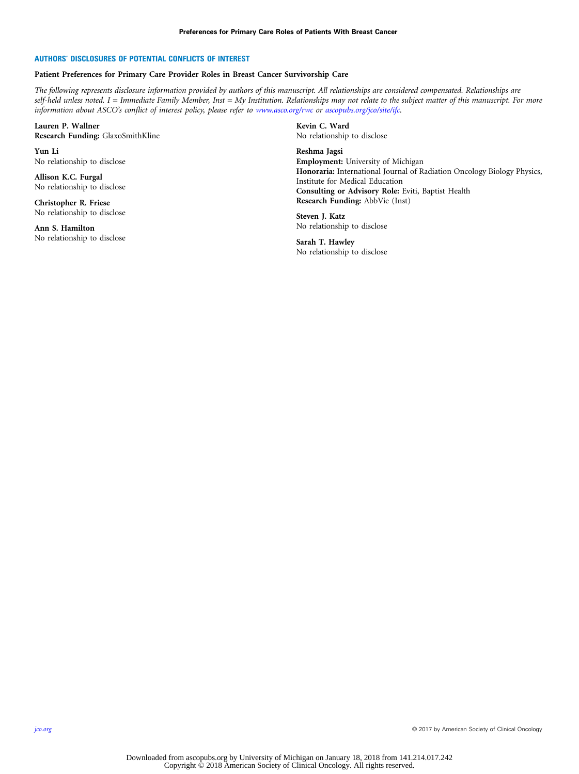#### AUTHORS' DISCLOSURES OF POTENTIAL CONFLICTS OF INTEREST

#### Patient Preferences for Primary Care Provider Roles in Breast Cancer Survivorship Care

The following represents disclosure information provided by authors of this manuscript. All relationships are considered compensated. Relationships are self-held unless noted. I = Immediate Family Member, Inst = My Institution. Relationships may not relate to the subject matter of this manuscript. For more information about ASCO's conflict of interest policy, please refer to [www.asco.org/rwc](http://www.asco.org/rwc) or [ascopubs.org/jco/site/ifc](http://ascopubs.org/jco/site/ifc).

Lauren P. Wallner Research Funding: GlaxoSmithKline

Yun Li No relationship to disclose

Allison K.C. Furgal No relationship to disclose

Christopher R. Friese No relationship to disclose

Ann S. Hamilton No relationship to disclose Kevin C. Ward No relationship to disclose

Reshma Jagsi Employment: University of Michigan Honoraria: International Journal of Radiation Oncology Biology Physics, Institute for Medical Education Consulting or Advisory Role: Eviti, Baptist Health Research Funding: AbbVie (Inst)

Steven J. Katz No relationship to disclose

Sarah T. Hawley No relationship to disclose